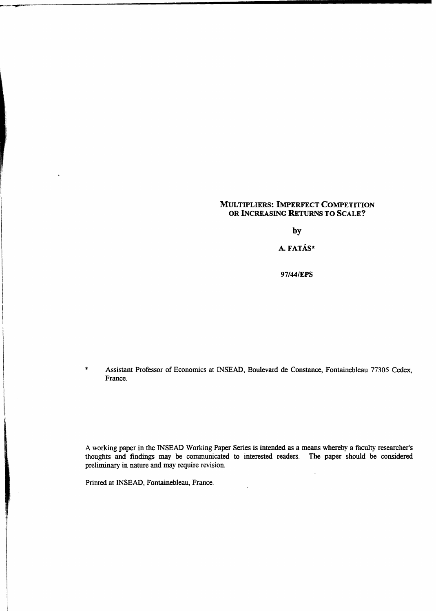## MULTIPLIERS: IMPERFECT COMPETITION OR INCREASING RETURNS TO SCALE?

**by**

A. FATÁS\*

**97/44/EPS**

%97/44/EPS<br>\*<br>Assistant Professor of Economics at INSEAD, Boulevard de Constance, Fontainebleau 77305 Cedex<br>France. France.

A working paper in the INSEAD Working Paper Series is intended as a means whereby a faculty researcher's thoughts and findings may be communicated to interested readers. The paper should be considered preliminary in nature and may require revision.

Printed at INSEAD, Fontainebleau, France.

 $\ddot{\phantom{0}}$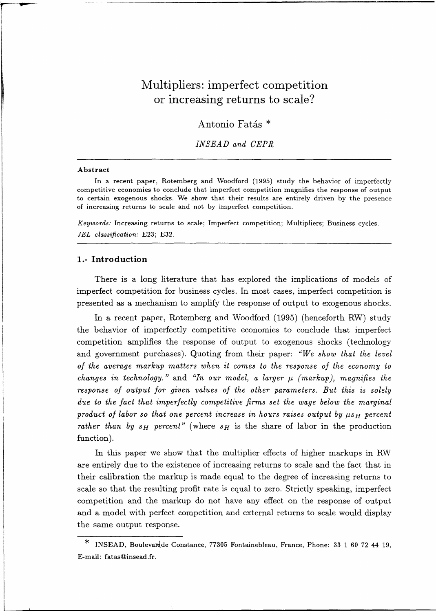# Multipliers: imperfect competition or increasing returns to scale?

Antonio Fatás<sup>\*</sup>

*INSEAD and CEPR*

#### **Abstract**

In a recent paper, Rotemberg and Woodford (1995) study the behavior of imperfectly competitive economies to conclude that imperfect competition magnifies the response of output to certain exogenous shocks. We show that their results are entirely driven by the presence of increasing returns to scale and not by imperfect competition.

*Keywords:* Increasing returns to scale; Imperfect competition; Multipliers; Business cycles. *JEL classification:* E23; E32.

# **1.- Introduction**

There is a long literature that has explored the implications of models of imperfect competition for business cycles. In most cases, imperfect competition is presented as a mechanism to amplify the response of output to exogenous shocks.

In a recent paper, Rotemberg and Woodford (1995) (henceforth RW) study the behavior of imperfectly competitive economies to conclude that imperfect competition amplifies the response of output to exogenous shocks (technology and government purchases). Quoting from their paper: *"We show that the level of the average markup matters when it comes to the response of the economy to changes in technology.*" and "In our model, a larger  $\mu$  (markup), magnifies the *response of output for given values of the other parameters. But this is solely due to the fact that imperfectly competitive firms set the wage below the marginal product of labor so that one percent increase in hours raises output by*  $\mu s_H$  *percent rather than by*  $s_H$  *percent"* (where  $s_H$  is the share of labor in the production function).

In this paper we show that the multiplier effects of higher markups in RW are entirely due to the existence of increasing returns to scale and the fact that in their calibration the markup is made equal to the degree of increasing returns to scale so that the resulting profit rate is equal to zero. Strictly speaking, imperfect competition and the markup do not have any effect on the response of output and a model with perfect competition and external returns to scale would display the same output response.

 $\ast$ INSEAD, Boulevardde Constance, 77305 Fontainebleau, France, Phone: 33 1 60 72 44 19, E-mail: fatas@insead.fr.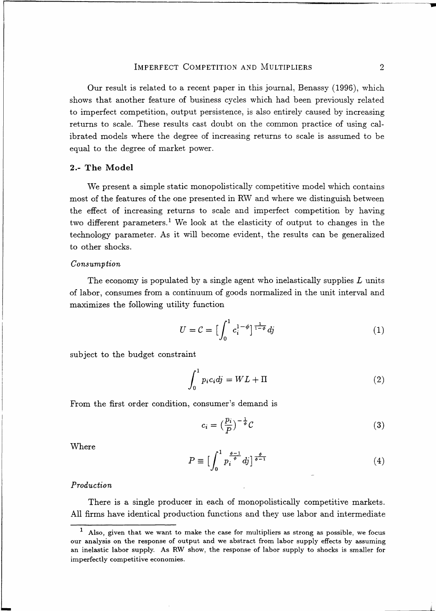IMPERFECT COMPETITION AND MULTIPLIERS 2<br>3 related to a recent paper in this journal, Benassy (1996), which Our result is related to a recent paper in this journal, Benassy (1996), which shows that another feature of business cycles which had been previously related to imperfect competition, output persistence, is also entirely caused by increasing returns to scale. These results cast doubt on the common practice of using calibrated models where the degree of increasing returns to scale is assumed to be equal to the degree of market power.

#### **2.- The Model**

We present a simple static monopolistically competitive model which contains most of the features of the one presented in RW and where we distinguish between the effect of increasing returns to scale and imperfect competition by having two different parameters.<sup>1</sup> We look at the elasticity of output to changes in the technology parameter. As it will become evident, the results can be generalized to other shocks. stically co<br>in RW an<br>e and im<br>ne elastici<br>e evident,<br>e agent w<br>goods nor<br> $c_i^{1-\phi}$ 

#### *Consumption*

The economy is populated by a single agent who inelastically supplies *L* units of labor, consumes from a continuum of goods normalized in the unit interval and maximizes the following utility function nd<br>n:<br>l

$$
U = \mathcal{C} = \left[\int_0^1 c_i^{1-\phi}\right]^{\frac{1}{1-\phi}} dy \tag{1}
$$

subject to the budget constraint

$$
\int_0^1 p_i c_i dj = WL + \Pi
$$
 (2)

From the first order condition, consumer's demand is

$$
c_i = \left(\frac{p_i}{P}\right)^{-\frac{1}{\phi}} C \tag{3}
$$

Where

$$
P \equiv \Big[\int_0^1 p_i^{\frac{\phi-1}{\phi}} dj\Big]^{\frac{\phi}{\phi-1}}\tag{4}
$$

#### *Production*

There is a single producer in each of monopolistically competitive markets. All firms have identical production functions and they use labor and intermediate

<sup>1</sup> Also, given that we want to make the case for multipliers *as* strong as possible, we focus our analysis on the response of output and we abstract from labor supply effects by assuming an inelastic labor supply. As RW show, the response of labor supply to shocks is smaller for imperfectly competitive economies.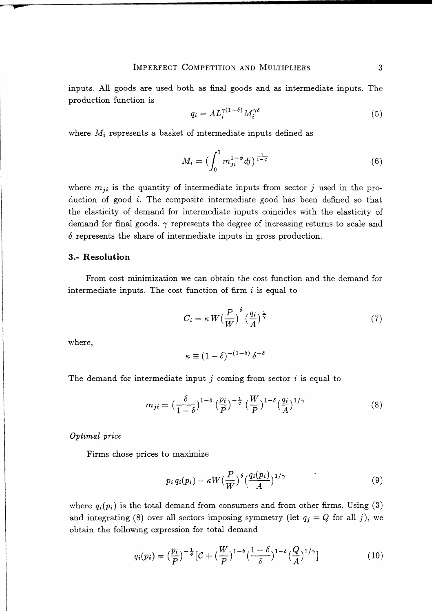$$
q_i = A L_i^{\gamma(1-\delta)} M_i^{\gamma \delta} \tag{5}
$$

where *M<sup>i</sup>* represents a basket of intermediate inputs defined as

COMPETITION AND MULTIPLERS 3  
\n
$$
q_i = AL_i^{\gamma(1-\delta)} M_i^{\gamma\delta}
$$
 (5)  
\n: of intermediate inputs defined as  
\n
$$
M_i = \left(\int_0^1 m_{ji}^{1-\phi} dj\right)^{\frac{1}{1-\phi}}
$$
 (6)  
\nintermediate inputs from sector *j* used in the pro-

where  $m_{ji}$  is the quantity of intermediate inputs from sector  $j$  used in the production of good  $i$ . The composite intermediate good has been defined so that the elasticity of demand for intermediate inputs coincides with the elasticity of demand for final goods.  $\gamma$  represents the degree of increasing returns to scale and *6* represents the share of intermediate inputs in gross production.

## **3.- Resolution**

From cost minimization we can obtain the cost function and the demand for intermediate inputs. The cost function of firm  $i$  is equal to

$$
C_i = \kappa W \left(\frac{P}{W}\right)^{\delta} \left(\frac{q_i}{A}\right)^{\frac{1}{\gamma}}
$$
 (7)

where,

$$
\kappa \equiv (1-\delta)^{-(1-\delta)} \, \delta^{-\delta}
$$

The demand for intermediate input *j* coming from sector i is equal to

$$
m_{ji} = \left(\frac{\delta}{1-\delta}\right)^{1-\delta} \left(\frac{p_i}{P}\right)^{-\frac{1}{\phi}} \left(\frac{W}{P}\right)^{1-\delta} \left(\frac{q_i}{A}\right)^{1/\gamma} \tag{8}
$$

### *Optimal price*

Firms chose prices to maximize

$$
p_i q_i(p_i) - \kappa W \left(\frac{P}{W}\right)^{\delta} \left(\frac{q_i(p_i)}{A}\right)^{1/\gamma} \tag{9}
$$

where  $q_i(p_i)$  is the total demand from consumers and from other firms. Using (3) and integrating (8) over all sectors imposing symmetry (let  $q_j = Q$  for all *j*), we obtain the following expression for total demand

$$
q_i(p_i) = \left(\frac{p_i}{P}\right)^{-\frac{1}{\phi}} \left[\mathcal{C} + \left(\frac{W}{P}\right)^{1-\delta} \left(\frac{1-\delta}{\delta}\right)^{1-\delta} \left(\frac{Q}{A}\right)^{1/\gamma}\right] \tag{10}
$$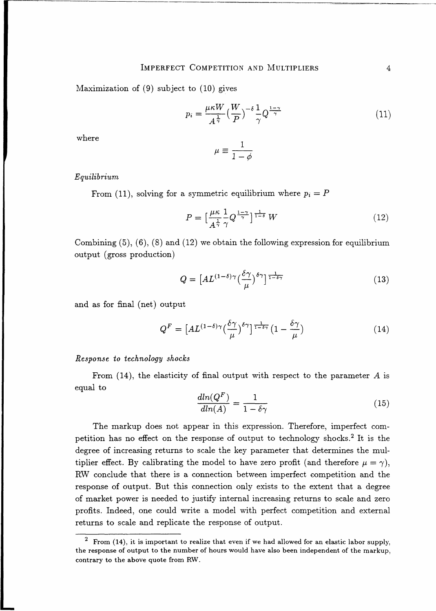Maximization of  $(9)$  subject to  $(10)$  gives

COMPETITION AND MULTIPLIERS  
\nto (10) gives  
\n
$$
p_i = \frac{\mu \kappa W}{A^{\frac{1}{\gamma}}} \left(\frac{W}{P}\right)^{-\delta} \frac{1}{\gamma} Q^{\frac{1-\gamma}{\gamma}}
$$
\n
$$
\mu \equiv \frac{1}{1-\gamma}
$$
\n(11)

where

$$
\mu \equiv \frac{1}{1 - \phi}
$$

## *Equilibrium*

From (11), solving for a symmetric equilibrium where  $p_i = P$ 

$$
\mu \equiv \frac{1}{1 - \phi}
$$
  
symmetric equilibrium where  $p_i = P$   

$$
P = \left[\frac{\mu \kappa}{A^{\frac{1}{\gamma}}} \frac{1}{\gamma} Q^{\frac{1 - \gamma}{\gamma}}\right]^{\frac{1}{1 - \delta}} W
$$
(12)

Combining (5), (6), (8) and (12) we obtain the following expression for equilibrium output (gross production)  $\mu \equiv \frac{1}{1-\phi}$ <br> **a** symmetric equilibriu<br>  $P = \left[\frac{\mu\kappa}{A^{\frac{1}{\gamma}}} \frac{1}{\gamma} Q^{\frac{1-\gamma}{\gamma}}\right]^{\frac{1}{1-\delta}}$ <br>
(12) we obtain the follo<br>  $Q = \left[AL^{(1-\delta)\gamma} \left(\frac{\delta\gamma}{\mu}\right)^{\delta\gamma}\right]$ <br>
at

$$
Q = \left[ A L^{(1-\delta)\gamma} \left( \frac{\delta \gamma}{\mu} \right)^{\delta \gamma} \right]^{\frac{1}{1-\delta \gamma}} \tag{13}
$$

and as for final (net) output

$$
Q^{F} = \left[ A L^{(1-\delta)\gamma} \left( \frac{\delta \gamma}{\mu} \right)^{\delta \gamma} \right]^{\frac{1}{1-\delta\gamma}} \left( 1 - \frac{\delta \gamma}{\mu} \right) \tag{14}
$$

#### *Response to technology shocks*

From  $(14)$ , the elasticity of final output with respect to the parameter A is equal to

$$
\frac{dln(Q^F)}{dln(A)} = \frac{1}{1 - \delta\gamma} \tag{15}
$$

The markup does not appear in this expression. Therefore, imperfect competition has no effect on the response of output to technology shocks.<sup>2</sup> It is the degree of increasing returns to scale the key parameter that determines the multiplier effect. By calibrating the model to have zero profit (and therefore  $\mu = \gamma$ ), RW conclude that there is a connection between imperfect competition and the response of output. But this connection only exists to the extent that a degree of market power is needed to justify internal increasing returns to scale and zero profits. Indeed, one could write a model with perfect competition and external returns to scale and replicate the response of output.

<sup>&</sup>lt;sup>2</sup> From (14), it is important to realize that even if we had allowed for an elastic labor supply, the response of output to the number of hours would have also been independent of the markup, contrary to the above quote from RW.